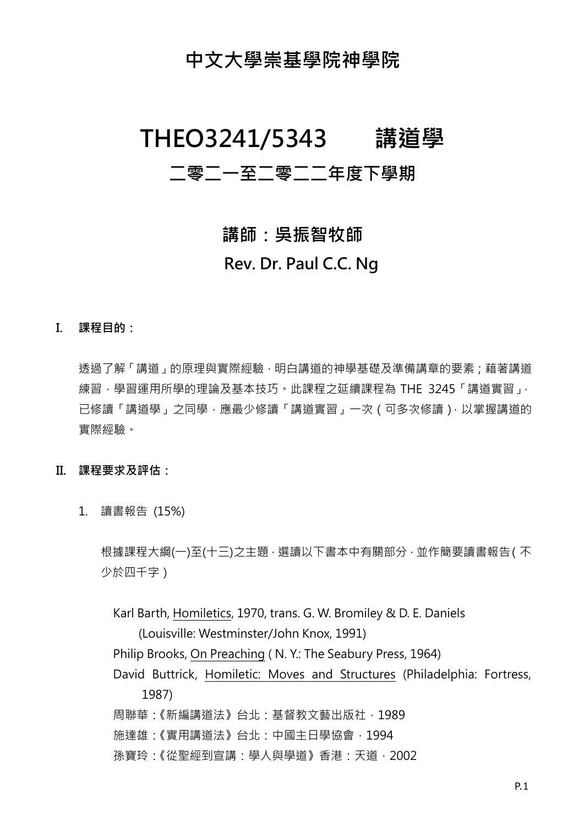## **中文大學崇基學院神學院**

# **THEO3241/5343 講道學**

## **二零二一至二零二二年度下學期**

# **講師:吳振智牧師 Rev. Dr. Paul C.C. Ng**

**I. 課程目的:**

透過了解「講道」的原理與實際經驗,明白講道的神學基礎及準備講章的要素;藉著講道 練習,學習運用所學的理論及基本技巧。此課程之延續課程為 THE 3245 「講道實習」, 已修讀「講道學」之同學,應最少修讀「講道實習」一次(可多次修讀),以掌握講道的 實際經驗。

#### **II. 課程要求及評估:**

1. 讀書報告 (15%)

根據課程大綱(一)至(十三)之主題,選讀以下書本中有關部分,並作簡要讀書報告(不 少於四千字)

Karl Barth, Homiletics, 1970, trans. G. W. Bromiley & D. E. Daniels (Louisville: Westminster/John Knox, 1991) Philip Brooks, On Preaching ( N. Y.: The Seabury Press, 1964) David Buttrick, Homiletic: Moves and Structures (Philadelphia: Fortress, 1987) 周聯華:《新編講道法》台北:基督教文藝出版社,1989 施達雄:《實用講道法》台北:中國主日學協會,1994 孫寶玲:《從聖經到宣講:學人與學道》香港:天道,2002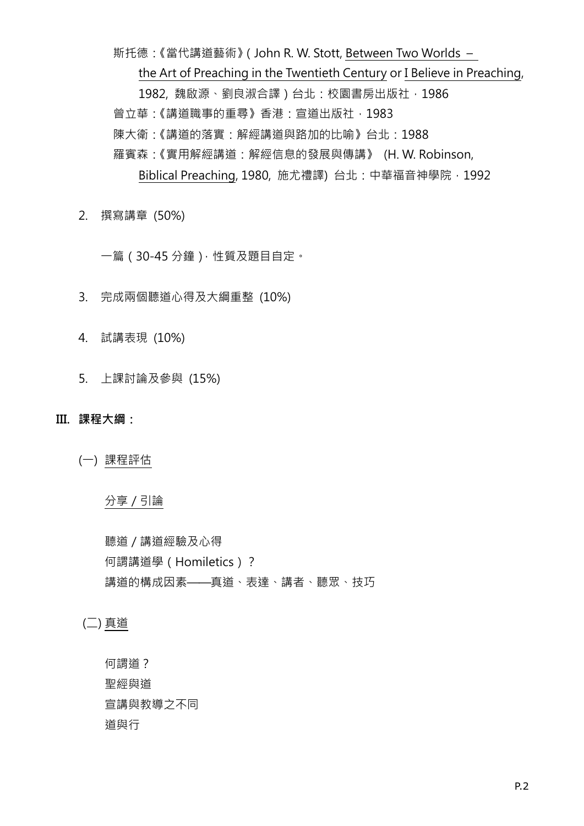斯托德:《當代講道藝術》(John R. W. Stott, Between Two Worlds – the Art of Preaching in the Twentieth Century or I Believe in Preaching, 1982, 魏啟源、劉良淑合譯)台北:校園書房出版社, 1986 曾立華:《講道職事的重尋》香港:宣道出版社,1983 陳大衛:《講道的落實:解經講道與路加的比喻》台北:1988 羅賓森:《實用解經講道:解經信息的發展與傳講》 (H. W. Robinson, Biblical Preaching, 1980, 施尤禮譯) 台北: 中華福音神學院, 1992

2. 撰寫講章 (50%)

一篇(30-45 分鐘),性質及題目自定。

- 3. 完成兩個聽道心得及大綱重整 (10%)
- 4. 試講表現 (10%)
- 5. 上課討論及參與 (15%)

**III. 課程大綱:**

(一) 課程評估

分享/引論

聽道/講道經驗及心得 何謂講道學(Homiletics)? 講道的構成因素——真道、表達、講者、聽眾、技巧

(二) 真道

何謂道? 聖經與道 宣講與教導之不同 道與行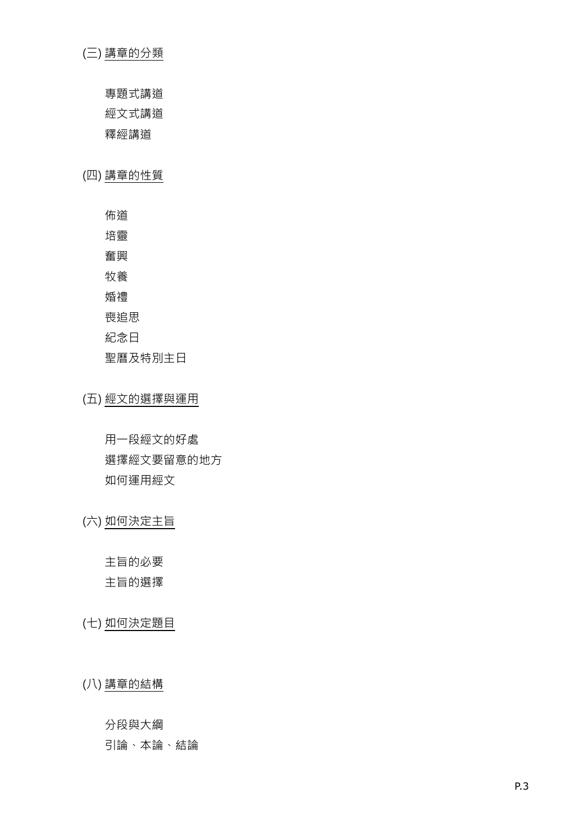#### ( 三 ) 講章的分 類

專 題 式講道

經文 式講道

釋經講道

( 四 ) 講章的性質

佈道

培靈

奮興

牧養

婚禮

喪追思

紀念 日

聖 曆 及特別主日

( 五 ) 經文的選 擇與運用

用一 段經文的好處 選 擇經文要留意 的地方 如何 運用經文

( 六 ) 如何決定 主 旨

主 旨 的 必 要

主 旨的選 擇

( 七 ) 如何決定 題 目

( 八 ) 講章的結構

分段與大綱

引論、本論、 結 論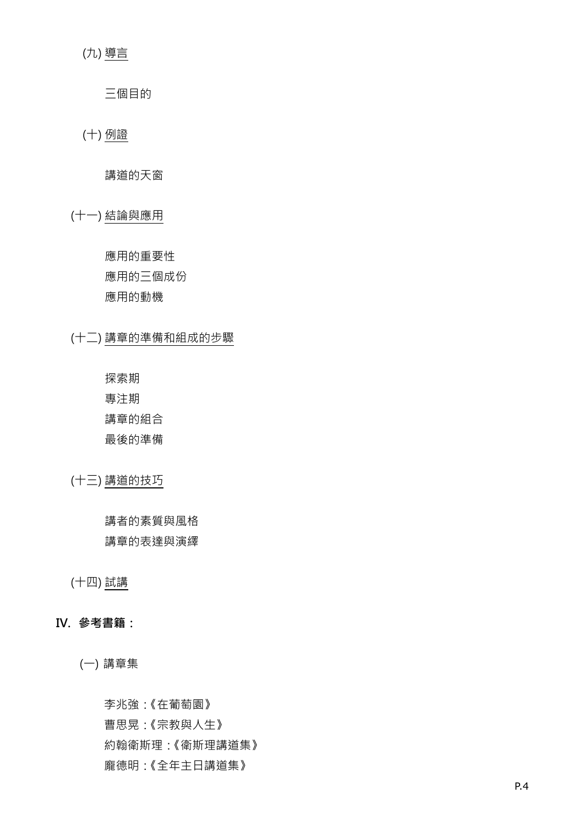(九) 導言

三個目的

(十) 例證

講道的天窗

(十一) 結論與應用

應用的重要性 應用的三個成份 應用的動機

(十二) 講章的準備和組成的步驟

探索期 專注期 講章的組合

最後的準備

(十三) 講道的技巧

講者的素質與風格 講章的表達與演繹

(十四) 試講

#### **IV. 參考書籍:**

(一) 講章集

李兆強:《在葡萄園》 曹思晃:《宗教與人生》 約翰衛斯理:《衛斯理講道集》 龐德明:《全年主日講道集》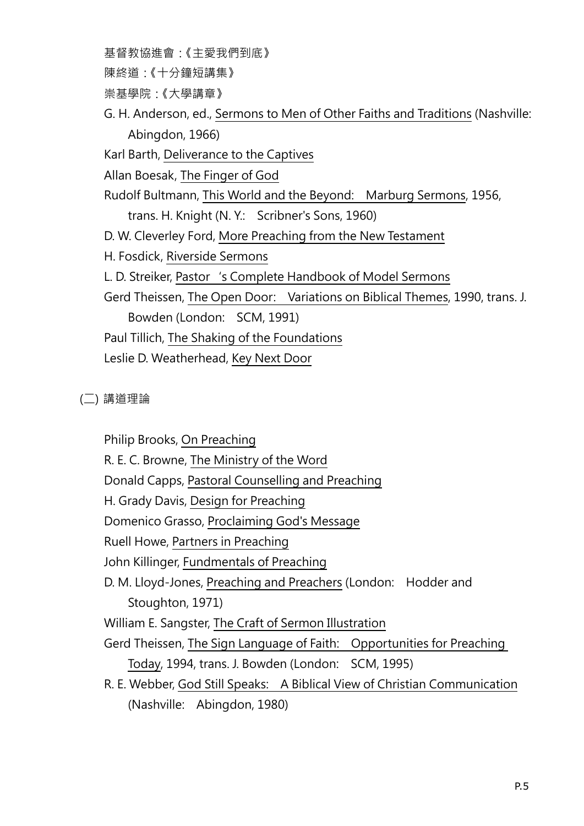基督教協進會:《主愛我們到底》 陳終道:《十分鐘短講集》 崇基學院:《大學講章》 G. H. Anderson, ed., Sermons to Men of Other Faiths and Traditions (Nashville: Abingdon, 1966) Karl Barth, Deliverance to the Captives Allan Boesak, The Finger of God Rudolf Bultmann, This World and the Beyond: Marburg Sermons, 1956, trans. H. Knight (N. Y.: Scribner's Sons, 1960) D. W. Cleverley Ford, More Preaching from the New Testament H. Fosdick, Riverside Sermons L. D. Streiker, Pastor 's Complete Handbook of Model Sermons Gerd Theissen, The Open Door: Variations on Biblical Themes, 1990, trans. J. Bowden (London: SCM, 1991) Paul Tillich, The Shaking of the Foundations Leslie D. Weatherhead, Key Next Door

(二) 講道理論

Philip Brooks, On Preaching

R. E. C. Browne, The Ministry of the Word

Donald Capps, Pastoral Counselling and Preaching

H. Grady Davis, Design for Preaching

Domenico Grasso, Proclaiming God's Message

Ruell Howe, Partners in Preaching

John Killinger, Fundmentals of Preaching

D. M. Lloyd-Jones, Preaching and Preachers (London: Hodder and Stoughton, 1971)

William E. Sangster, The Craft of Sermon Illustration

Gerd Theissen, The Sign Language of Faith: Opportunities for Preaching Today, 1994, trans. J. Bowden (London: SCM, 1995)

R. E. Webber, God Still Speaks: A Biblical View of Christian Communication (Nashville: Abingdon, 1980)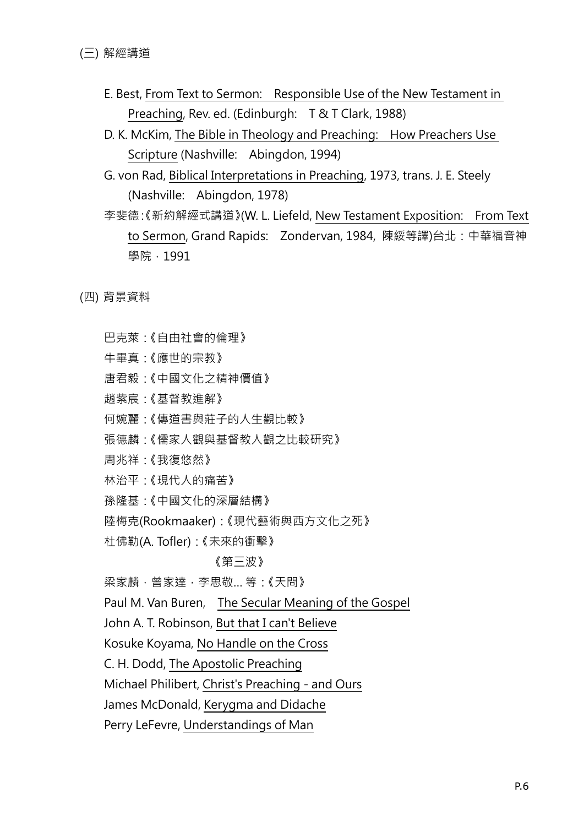- E. Best, From Text to Sermon: Responsible Use of the New Testament in Preaching, Rev. ed. (Edinburgh: T & T Clark, 1988)
- D. K. McKim, The Bible in Theology and Preaching: How Preachers Use Scripture (Nashville: Abingdon, 1994)
- G. von Rad, Biblical Interpretations in Preaching, 1973, trans. J. E. Steely (Nashville: Abingdon, 1978)
- 李斐德:《新約解經式講道》(W. L. Liefeld, New Testament Exposition: From Text to Sermon, Grand Rapids: Zondervan, 1984, 陳綏等譯)台北:中華福音神 學院, 1991

(四) 背景資料

- 巴克萊:《自由社會的倫理》
- 牛畢真:《應世的宗教》
- 唐君毅:《中國文化之精神價值》
- 趙紫宸:《基督教進解》
- 何婉麗:《傳道書與莊子的人生觀比較》
- 張德麟:《儒家人觀與基督教人觀之比較研究》
- 周兆祥:《我復悠然》
- 林治平:《現代人的痛苦》
- 孫隆基:《中國文化的深層結構》
- 陸梅克(Rookmaaker):《現代藝術與西方文化之死》
- 杜佛勒(A. Tofler):《未來的衝擊》

#### 《第三波》

梁家麟,曾家達,李思敬… 等:《天問》

Paul M. Van Buren, The Secular Meaning of the Gospel

John A. T. Robinson, But that I can't Believe

Kosuke Koyama, No Handle on the Cross

C. H. Dodd, The Apostolic Preaching

Michael Philibert, Christ's Preaching - and Ours

James McDonald, Kerygma and Didache

Perry LeFevre, Understandings of Man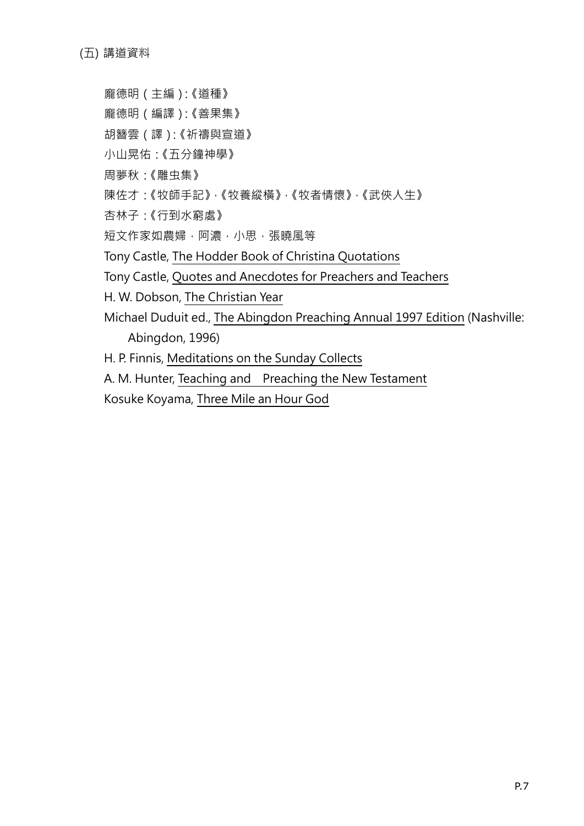(五) 講道資料

- 龐德明(主編):《道種》
- 龐德明(編譯):《善果集》
- 胡簪雲(譯):《祈禱與宣道》
- 小山晃佑:《五分鐘神學》
- 周夢秋:《雕虫集》
- 陳佐才:《牧師手記》,《牧養縱橫》,《牧者情懷》,《武俠人生》
- 杏林子:《行到水窮處》
- 短文作家如農婦,阿濃,小思,張曉風等
- Tony Castle, The Hodder Book of Christina Quotations
- Tony Castle, Quotes and Anecdotes for Preachers and Teachers
- H. W. Dobson, The Christian Year
- Michael Duduit ed., The Abingdon Preaching Annual 1997 Edition (Nashville: Abingdon, 1996)
- H. P. Finnis, Meditations on the Sunday Collects
- A. M. Hunter, Teaching and Preaching the New Testament
- Kosuke Koyama, Three Mile an Hour God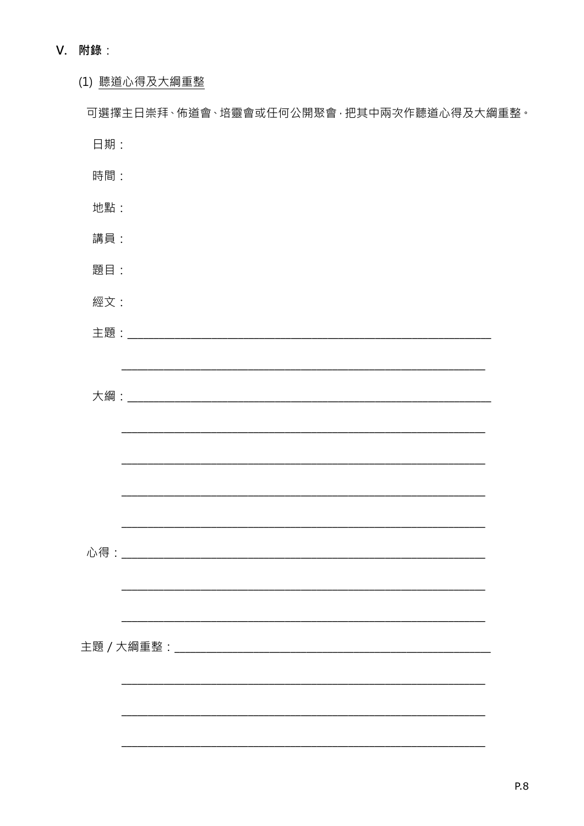### V. 附錄:

### (1) 聽道心得及大綱重整

|     |  | 可選擇主日崇拜、佈道會、培靈會或任何公開聚會,把其中兩次作聽道心得及大綱重整。                                                                               |  |
|-----|--|-----------------------------------------------------------------------------------------------------------------------|--|
| 日期: |  |                                                                                                                       |  |
| 時間: |  |                                                                                                                       |  |
| 地點: |  |                                                                                                                       |  |
| 講員: |  |                                                                                                                       |  |
| 題目: |  |                                                                                                                       |  |
| 經文: |  |                                                                                                                       |  |
|     |  |                                                                                                                       |  |
|     |  | <u> 1989 - Johann Stoff, deutscher Stoff, der Stoff, der Stoff, der Stoff, der Stoff, der Stoff, der Stoff, der S</u> |  |
|     |  |                                                                                                                       |  |
|     |  |                                                                                                                       |  |
|     |  |                                                                                                                       |  |
|     |  |                                                                                                                       |  |
|     |  |                                                                                                                       |  |
|     |  |                                                                                                                       |  |
|     |  |                                                                                                                       |  |
|     |  |                                                                                                                       |  |
|     |  |                                                                                                                       |  |
|     |  |                                                                                                                       |  |
|     |  |                                                                                                                       |  |
|     |  |                                                                                                                       |  |